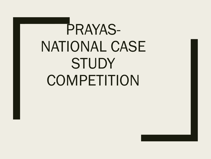# PRAYAS-NATIONAL CASE **STUDY COMPETITION**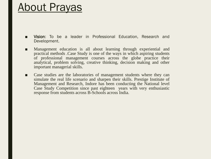### About Prayas

Vision: To be a leader in Professional Education, Research and Development.

- Management education is all about learning through experiential and practical methods .Case Study is one of the ways in which aspiring students of professional management courses across the globe practice their analytical, problem solving, creative thinking, decision making and other important managerial skills.
- Case studies are the laboratories of management students where they can simulate the real life scenario and sharpen their skills. Prestige Institute of Management and Research, Indore has been conducting the National level Case Study Competition since past eighteen years with very enthusiastic response from students across B-Schools across India.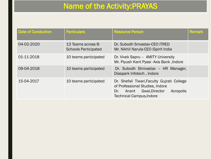#### Name of the Activity:PRAYAS

| <b>Date of Conduction</b> | <b>Particulars</b>                                | <b>Resource Person</b>                                                                                                                                                  | <b>Remark</b> |
|---------------------------|---------------------------------------------------|-------------------------------------------------------------------------------------------------------------------------------------------------------------------------|---------------|
| 04-02-2020                | 13 Teams across B-<br><b>Schools Participated</b> | Dr. Subodh Srivastav-CEO iTRED<br>Mr. Nikhil Narula-CEO iSpirit India                                                                                                   |               |
| 01-11-2018                | 10 teams participated                             | Dr. Vivek Sapru - AMITY University<br>Mr. Piyush Kant Pyasi - Axis Bank, Indore                                                                                         |               |
| 09-04-2018                | 10 teams participated                             | Dr. Subodh Shrivastav - HR Manager,<br>Diaspark Infotech, Indore                                                                                                        |               |
| 15-04-2017                | 10 teams participated                             | Dr. Shefali Tiwari, Faculty Guirati College<br>of Professional Studies, Indore<br>Acropolis<br><b>Gwal, Director</b><br>Dr.<br>Anant<br><b>Technical Campus, Indore</b> |               |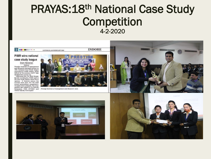#### PRAYAS: 18<sup>th</sup> National Case Study Competition 4-2-2020

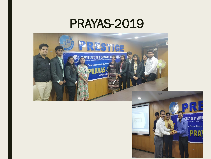## PRAYAS-2019



al Case Study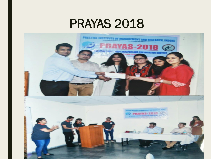## PRAYAS 2018